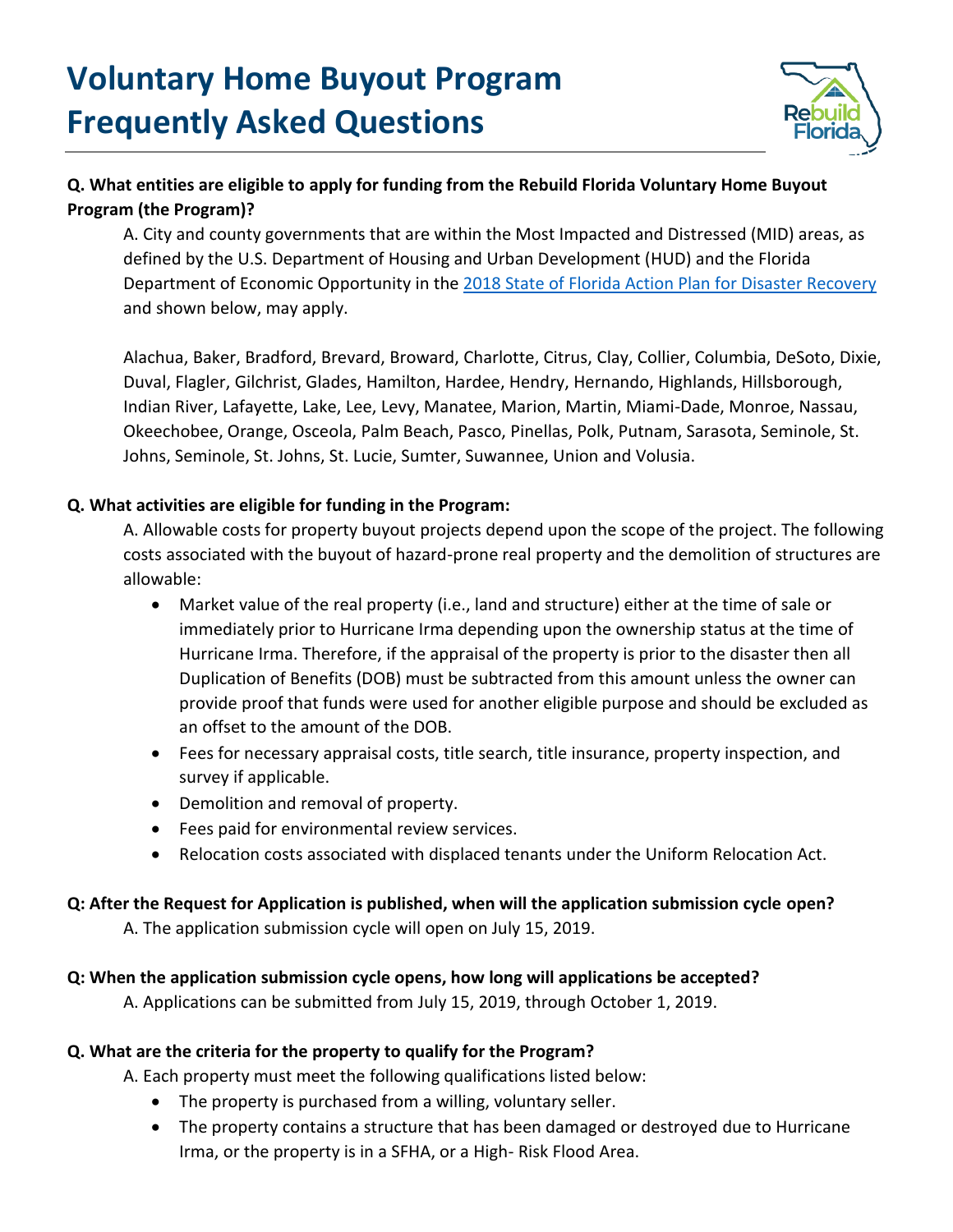

# **Q. What entities are eligible to apply for funding from the Rebuild Florida Voluntary Home Buyout Program (the Program)?**

A. City and county governments that are within the Most Impacted and Distressed (MID) areas, as defined by the U.S. Department of Housing and Urban Development (HUD) and the Florida Department of Economic Opportunity in the [2018 State of Florida Action Plan for Disaster Recovery](http://floridajobs.org/docs/default-source/office-of-disaster-recovery/hurricane-irma/actionplanamend1substantial.pdf?sfvrsn=2) and shown below, may apply.

Alachua, Baker, Bradford, Brevard, Broward, Charlotte, Citrus, Clay, Collier, Columbia, DeSoto, Dixie, Duval, Flagler, Gilchrist, Glades, Hamilton, Hardee, Hendry, Hernando, Highlands, Hillsborough, Indian River, Lafayette, Lake, Lee, Levy, Manatee, Marion, Martin, Miami-Dade, Monroe, Nassau, Okeechobee, Orange, Osceola, Palm Beach, Pasco, Pinellas, Polk, Putnam, Sarasota, Seminole, St. Johns, Seminole, St. Johns, St. Lucie, Sumter, Suwannee, Union and Volusia.

## **Q. What activities are eligible for funding in the Program:**

A. Allowable costs for property buyout projects depend upon the scope of the project. The following costs associated with the buyout of hazard-prone real property and the demolition of structures are allowable:

- Market value of the real property (i.e., land and structure) either at the time of sale or immediately prior to Hurricane Irma depending upon the ownership status at the time of Hurricane Irma. Therefore, if the appraisal of the property is prior to the disaster then all Duplication of Benefits (DOB) must be subtracted from this amount unless the owner can provide proof that funds were used for another eligible purpose and should be excluded as an offset to the amount of the DOB.
- Fees for necessary appraisal costs, title search, title insurance, property inspection, and survey if applicable.
- Demolition and removal of property.
- Fees paid for environmental review services.
- Relocation costs associated with displaced tenants under the Uniform Relocation Act.

## **Q: After the Request for Application is published, when will the application submission cycle open?**

A. The application submission cycle will open on July 15, 2019.

## **Q: When the application submission cycle opens, how long will applications be accepted?**

A. Applications can be submitted from July 15, 2019, through October 1, 2019.

## **Q. What are the criteria for the property to qualify for the Program?**

A. Each property must meet the following qualifications listed below:

- The property is purchased from a willing, voluntary seller.
- The property contains a structure that has been damaged or destroyed due to Hurricane Irma, or the property is in a SFHA, or a High- Risk Flood Area.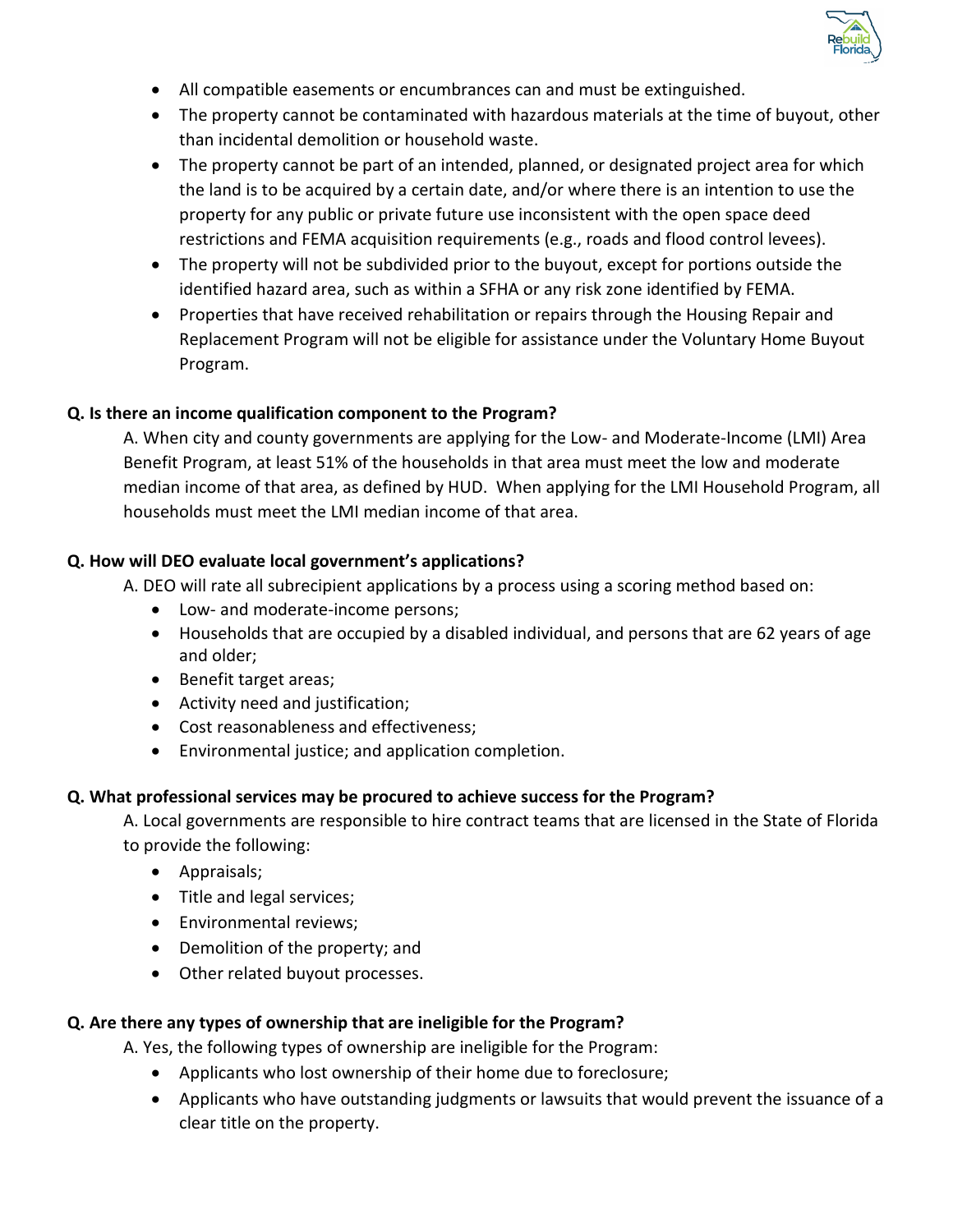

- All compatible easements or encumbrances can and must be extinguished.
- The property cannot be contaminated with hazardous materials at the time of buyout, other than incidental demolition or household waste.
- The property cannot be part of an intended, planned, or designated project area for which the land is to be acquired by a certain date, and/or where there is an intention to use the property for any public or private future use inconsistent with the open space deed restrictions and FEMA acquisition requirements (e.g., roads and flood control levees).
- The property will not be subdivided prior to the buyout, except for portions outside the identified hazard area, such as within a SFHA or any risk zone identified by FEMA.
- Properties that have received rehabilitation or repairs through the Housing Repair and Replacement Program will not be eligible for assistance under the Voluntary Home Buyout Program.

## **Q. Is there an income qualification component to the Program?**

A. When city and county governments are applying for the Low- and Moderate-Income (LMI) Area Benefit Program, at least 51% of the households in that area must meet the low and moderate median income of that area, as defined by HUD. When applying for the LMI Household Program, all households must meet the LMI median income of that area.

## **Q. How will DEO evaluate local government's applications?**

A. DEO will rate all subrecipient applications by a process using a scoring method based on:

- Low- and moderate-income persons;
- Households that are occupied by a disabled individual, and persons that are 62 years of age and older;
- Benefit target areas;
- Activity need and justification;
- Cost reasonableness and effectiveness;
- Environmental justice; and application completion.

## **Q. What professional services may be procured to achieve success for the Program?**

A. Local governments are responsible to hire contract teams that are licensed in the State of Florida to provide the following:

- Appraisals;
- Title and legal services;
- Environmental reviews;
- Demolition of the property; and
- Other related buyout processes.

## **Q. Are there any types of ownership that are ineligible for the Program?**

A. Yes, the following types of ownership are ineligible for the Program:

- Applicants who lost ownership of their home due to foreclosure;
- Applicants who have outstanding judgments or lawsuits that would prevent the issuance of a clear title on the property.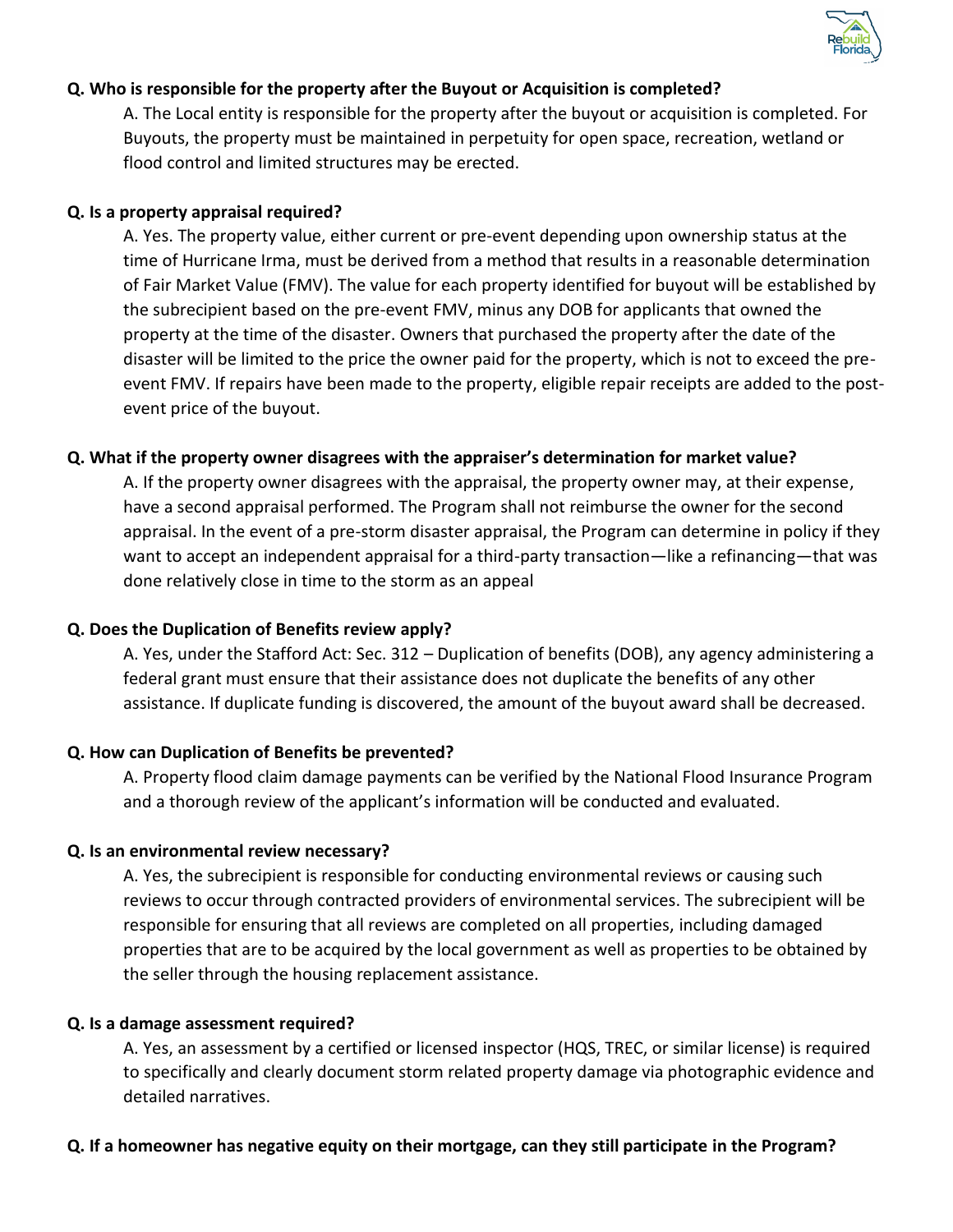

### **Q. Who is responsible for the property after the Buyout or Acquisition is completed?**

A. The Local entity is responsible for the property after the buyout or acquisition is completed. For Buyouts, the property must be maintained in perpetuity for open space, recreation, wetland or flood control and limited structures may be erected.

#### **Q. Is a property appraisal required?**

A. Yes. The property value, either current or pre-event depending upon ownership status at the time of Hurricane Irma, must be derived from a method that results in a reasonable determination of Fair Market Value (FMV). The value for each property identified for buyout will be established by the subrecipient based on the pre-event FMV, minus any DOB for applicants that owned the property at the time of the disaster. Owners that purchased the property after the date of the disaster will be limited to the price the owner paid for the property, which is not to exceed the preevent FMV. If repairs have been made to the property, eligible repair receipts are added to the postevent price of the buyout.

### **Q. What if the property owner disagrees with the appraiser's determination for market value?**

A. If the property owner disagrees with the appraisal, the property owner may, at their expense, have a second appraisal performed. The Program shall not reimburse the owner for the second appraisal. In the event of a pre-storm disaster appraisal, the Program can determine in policy if they want to accept an independent appraisal for a third-party transaction—like a refinancing—that was done relatively close in time to the storm as an appeal

## **Q. Does the Duplication of Benefits review apply?**

A. Yes, under the Stafford Act: Sec. 312 – Duplication of benefits (DOB), any agency administering a federal grant must ensure that their assistance does not duplicate the benefits of any other assistance. If duplicate funding is discovered, the amount of the buyout award shall be decreased.

#### **Q. How can Duplication of Benefits be prevented?**

A. Property flood claim damage payments can be verified by the National Flood Insurance Program and a thorough review of the applicant's information will be conducted and evaluated.

## **Q. Is an environmental review necessary?**

A. Yes, the subrecipient is responsible for conducting environmental reviews or causing such reviews to occur through contracted providers of environmental services. The subrecipient will be responsible for ensuring that all reviews are completed on all properties, including damaged properties that are to be acquired by the local government as well as properties to be obtained by the seller through the housing replacement assistance.

#### **Q. Is a damage assessment required?**

A. Yes, an assessment by a certified or licensed inspector (HQS, TREC, or similar license) is required to specifically and clearly document storm related property damage via photographic evidence and detailed narratives.

## **Q. If a homeowner has negative equity on their mortgage, can they still participate in the Program?**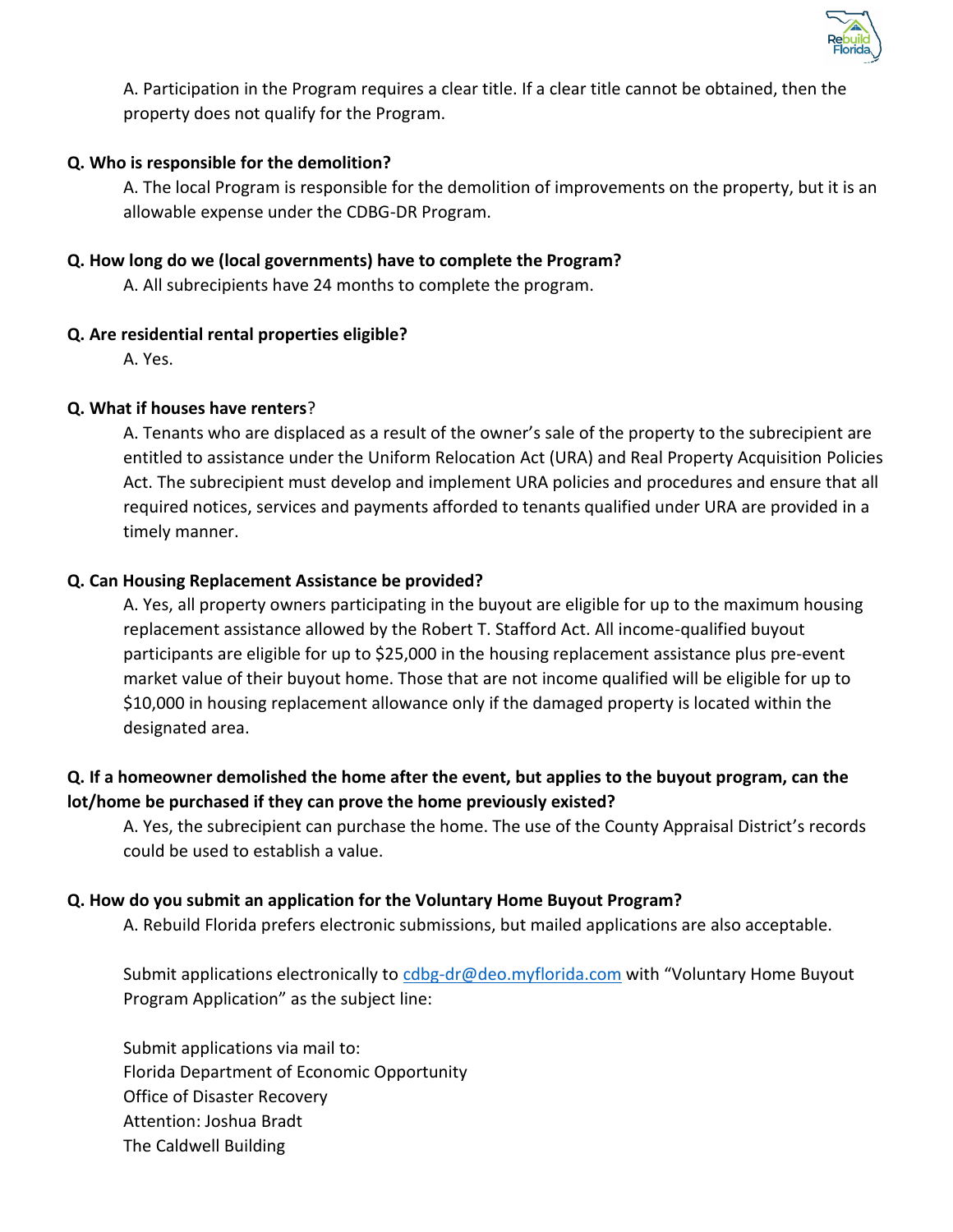

A. Participation in the Program requires a clear title. If a clear title cannot be obtained, then the property does not qualify for the Program.

### **Q. Who is responsible for the demolition?**

A. The local Program is responsible for the demolition of improvements on the property, but it is an allowable expense under the CDBG-DR Program.

### **Q. How long do we (local governments) have to complete the Program?**

A. All subrecipients have 24 months to complete the program.

### **Q. Are residential rental properties eligible?**

A. Yes.

### **Q. What if houses have renters**?

A. Tenants who are displaced as a result of the owner's sale of the property to the subrecipient are entitled to assistance under the Uniform Relocation Act (URA) and Real Property Acquisition Policies Act. The subrecipient must develop and implement URA policies and procedures and ensure that all required notices, services and payments afforded to tenants qualified under URA are provided in a timely manner.

### **Q. Can Housing Replacement Assistance be provided?**

A. Yes, all property owners participating in the buyout are eligible for up to the maximum housing replacement assistance allowed by the Robert T. Stafford Act. All income-qualified buyout participants are eligible for up to \$25,000 in the housing replacement assistance plus pre-event market value of their buyout home. Those that are not income qualified will be eligible for up to \$10,000 in housing replacement allowance only if the damaged property is located within the designated area.

## **Q. If a homeowner demolished the home after the event, but applies to the buyout program, can the lot/home be purchased if they can prove the home previously existed?**

A. Yes, the subrecipient can purchase the home. The use of the County Appraisal District's records could be used to establish a value.

#### **Q. How do you submit an application for the Voluntary Home Buyout Program?**

A. Rebuild Florida prefers electronic submissions, but mailed applications are also acceptable.

Submit applications electronically to [cdbg-dr@deo.myflorida.com](file://///deofs.deo.myflorida.com/root/users/kellera/VHB%20Docs/cdbg-dr@deo.myflorida.com) with "Voluntary Home Buyout Program Application" as the subject line:

Submit applications via mail to: Florida Department of Economic Opportunity Office of Disaster Recovery Attention: Joshua Bradt The Caldwell Building